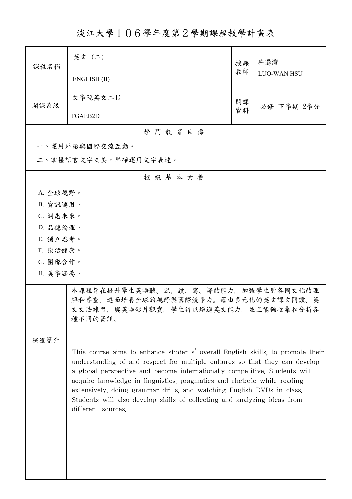淡江大學106學年度第2學期課程教學計畫表

| 課程名稱                 | 英文 (二)                                                                                                                                                                                                                                                                                                                                                                                                                                                                                             | 授課 | 許邏灣<br><b>LUO-WAN HSU</b> |  |  |
|----------------------|----------------------------------------------------------------------------------------------------------------------------------------------------------------------------------------------------------------------------------------------------------------------------------------------------------------------------------------------------------------------------------------------------------------------------------------------------------------------------------------------------|----|---------------------------|--|--|
|                      | ENGLISH (II)                                                                                                                                                                                                                                                                                                                                                                                                                                                                                       | 教師 |                           |  |  |
| 開課系級                 | 文學院英文二D                                                                                                                                                                                                                                                                                                                                                                                                                                                                                            | 開課 | 必修 下學期 2學分                |  |  |
|                      | <b>TGAEB2D</b>                                                                                                                                                                                                                                                                                                                                                                                                                                                                                     | 資料 |                           |  |  |
|                      | 學門教育目標                                                                                                                                                                                                                                                                                                                                                                                                                                                                                             |    |                           |  |  |
|                      | 一、運用外語與國際交流互動。                                                                                                                                                                                                                                                                                                                                                                                                                                                                                     |    |                           |  |  |
|                      | 二、掌握語言文字之美,準確運用文字表達。                                                                                                                                                                                                                                                                                                                                                                                                                                                                               |    |                           |  |  |
|                      | 校級基本素養                                                                                                                                                                                                                                                                                                                                                                                                                                                                                             |    |                           |  |  |
| A. 全球視野。             |                                                                                                                                                                                                                                                                                                                                                                                                                                                                                                    |    |                           |  |  |
| B. 資訊運用。             |                                                                                                                                                                                                                                                                                                                                                                                                                                                                                                    |    |                           |  |  |
| C. 洞悉未來。             |                                                                                                                                                                                                                                                                                                                                                                                                                                                                                                    |    |                           |  |  |
| D. 品德倫理。             |                                                                                                                                                                                                                                                                                                                                                                                                                                                                                                    |    |                           |  |  |
| E. 獨立思考。             |                                                                                                                                                                                                                                                                                                                                                                                                                                                                                                    |    |                           |  |  |
| F. 樂活健康。             |                                                                                                                                                                                                                                                                                                                                                                                                                                                                                                    |    |                           |  |  |
| G. 團隊合作。<br>H. 美學涵養。 |                                                                                                                                                                                                                                                                                                                                                                                                                                                                                                    |    |                           |  |  |
|                      |                                                                                                                                                                                                                                                                                                                                                                                                                                                                                                    |    |                           |  |  |
|                      | 本課程旨在提升學生英語聽、說、讀、寫、譯的能力,加強學生對各國文化的理<br>解和尊重,進而培養全球的視野與國際競爭力。藉由多元化的英文課文閱讀、英<br>文文法練習、與英語影片觀賞,學生得以增進英文能力,並且能夠收集和分析各<br>種不同的資訊。                                                                                                                                                                                                                                                                                                                                                                       |    |                           |  |  |
| 课程简介                 |                                                                                                                                                                                                                                                                                                                                                                                                                                                                                                    |    |                           |  |  |
|                      | This course aims to enhance students' overall English skills, to promote their<br>understanding of and respect for multiple cultures so that they can develop<br>a global perspective and become internationally competitive. Students will<br>acquire knowledge in linguistics, pragmatics and rhetoric while reading<br>extensively, doing grammar drills, and watching English DVDs in class.<br>Students will also develop skills of collecting and analyzing ideas from<br>different sources. |    |                           |  |  |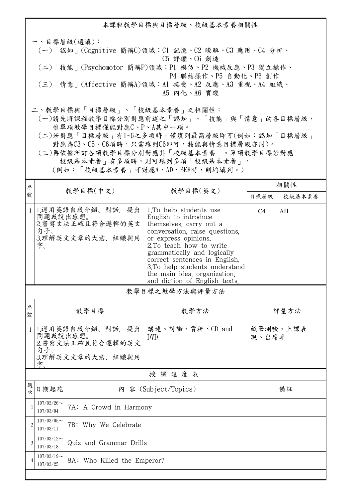本課程教學目標與目標層級、校級基本素養相關性 一、目標層級(選填): (一)「認知」(Cognitive 簡稱C)領域:C1 記憶、C2 瞭解、C3 應用、C4 分析、 C5 評鑑、C6 創造 (二)「技能」(Psychomotor 簡稱P)領域:P1 模仿、P2 機械反應、P3 獨立操作、 P4 聯結操作、P5 自動化、P6 創作 (三)「情意」(Affective 簡稱A)領域:A1 接受、A2 反應、A3 重視、A4 組織、 A5 內化、A6 實踐 二、教學目標與「目標層級」、「校級基本素養」之相關性:

 (一)請先將課程教學目標分別對應前述之「認知」、「技能」與「情意」的各目標層級, 惟單項教學目標僅能對應C、P、A其中一項。

 (二)若對應「目標層級」有1~6之多項時,僅填列最高層級即可(例如:認知「目標層級」 對應為C3、C5、C6項時,只需填列C6即可,技能與情意目標層級亦同)。

 (三)再依據所訂各項教學目標分別對應其「校級基本素養」。單項教學目標若對應 「校級基本素養」有多項時,則可填列多項「校級基本素養」。

(例如:「校級基本素養」可對應A、AD、BEF時,則均填列。)

| 序              |                                                                                   |                                                          | 教學目標(英文)                                                                                                                                                                                                                                                                                                                          | 相關性            |          |  |
|----------------|-----------------------------------------------------------------------------------|----------------------------------------------------------|-----------------------------------------------------------------------------------------------------------------------------------------------------------------------------------------------------------------------------------------------------------------------------------------------------------------------------------|----------------|----------|--|
| 號              | 教學目標(中文)                                                                          | 目標層級                                                     |                                                                                                                                                                                                                                                                                                                                   | 校級基本素養         |          |  |
| $\mathbf{1}$   | 問題或說出感想。<br>句子。<br>字。                                                             | 1.運用英語自我介紹、對話、提出<br>2.書寫文法正確且符合邏輯的英文<br>3.理解英文文章的大意、組織與用 | 1. To help students use<br>English to introduce<br>themselves, carry out a<br>conversation, raise questions,<br>or express opinions.<br>2.To teach how to write<br>grammatically and logically<br>correct sentences in English.<br>3.To help students understand<br>the main idea, organization,<br>and diction of English texts. | C <sub>4</sub> | AH       |  |
|                | 教學目標之教學方法與評量方法                                                                    |                                                          |                                                                                                                                                                                                                                                                                                                                   |                |          |  |
| 序<br>號         | 教學目標                                                                              |                                                          | 教學方法                                                                                                                                                                                                                                                                                                                              | 評量方法           |          |  |
| $\mathbf{1}$   | 1.運用英語自我介紹、對話、提出<br>問題或說出感想。<br>2.書寫文法正確且符合邏輯的英文<br>句子。<br>3.理解英文文章的大意、組織與用<br>字。 |                                                          | 講述、討論、賞析、CD and<br><b>DVD</b>                                                                                                                                                                                                                                                                                                     | 現、出席率          | 紙筆測驗、上課表 |  |
| 授課進度表          |                                                                                   |                                                          |                                                                                                                                                                                                                                                                                                                                   |                |          |  |
| 週<br>次         | 日期起訖                                                                              | 內 容 (Subject/Topics)                                     |                                                                                                                                                                                                                                                                                                                                   | 備註             |          |  |
| 1              | $107/02/26$ ~<br>107/03/04                                                        | 7A: A Crowd in Harmony                                   |                                                                                                                                                                                                                                                                                                                                   |                |          |  |
| $\overline{2}$ | $107/03/05$ ~<br>7B: Why We Celebrate<br>107/03/11                                |                                                          |                                                                                                                                                                                                                                                                                                                                   |                |          |  |
| 3              | $107/03/12$ ~<br>Quiz and Grammar Drills<br>107/03/18                             |                                                          |                                                                                                                                                                                                                                                                                                                                   |                |          |  |
| 4              | $107/03/19$ ~<br>107/03/25                                                        | 8A: Who Killed the Emperor?                              |                                                                                                                                                                                                                                                                                                                                   |                |          |  |
|                |                                                                                   |                                                          |                                                                                                                                                                                                                                                                                                                                   |                |          |  |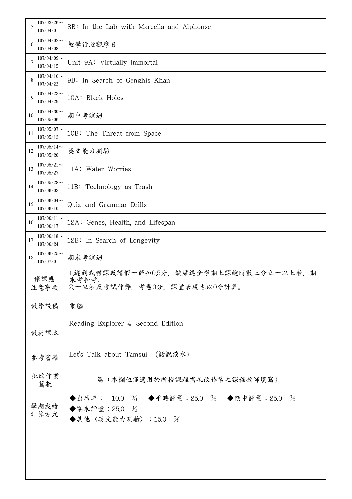| 5           | $107/03/26$ ~<br>107/04/01                                                                                   | 8B: In the Lab with Marcella and Alphonse                                         |  |  |
|-------------|--------------------------------------------------------------------------------------------------------------|-----------------------------------------------------------------------------------|--|--|
| 6           | $107/04/02$ ~<br>107/04/08                                                                                   | 教學行政觀摩日                                                                           |  |  |
| 7           | $107/04/09$ ~<br>107/04/15                                                                                   | Unit 9A: Virtually Immortal                                                       |  |  |
| 8           | $107/04/16$ ~<br>107/04/22                                                                                   | 9B: In Search of Genghis Khan                                                     |  |  |
| 9           | $107/04/23$ ~<br>107/04/29                                                                                   | 10A: Black Holes                                                                  |  |  |
| 10          | $107/04/30$ ~<br>107/05/06                                                                                   | 期中考試週                                                                             |  |  |
| 11          | $107/05/07$ ~<br>107/05/13                                                                                   | 10B: The Threat from Space                                                        |  |  |
| 12          | $107/05/14$ ~<br>107/05/20                                                                                   | 英文能力測驗                                                                            |  |  |
| 13          | $107/05/21$ ~<br>107/05/27                                                                                   | 11A: Water Worries                                                                |  |  |
| 14          | $107/05/28$ ~<br>107/06/03                                                                                   | 11B: Technology as Trash                                                          |  |  |
| 15          | $107/06/04$ ~<br>107/06/10                                                                                   | Quiz and Grammar Drills                                                           |  |  |
| 16          | $107/06/11$ ~<br>107/06/17                                                                                   | 12A: Genes, Health, and Lifespan                                                  |  |  |
| 17          | $107/06/18$ ~<br>107/06/24                                                                                   | 12B: In Search of Longevity                                                       |  |  |
| 18          | $107/06/25$ ~<br>107/07/01                                                                                   | 期末考試週                                                                             |  |  |
| 修課應<br>注意事項 |                                                                                                              | 1.遲到或曠課或請假一節扣0.5分,缺席達全學期上課總時數三分之一以上者,<br>期<br>末考扣考<br>2.一旦涉及考試作弊,考卷0分,課堂表現也以0分計算。 |  |  |
|             | 教學設備                                                                                                         | 電腦                                                                                |  |  |
|             | 教材課本                                                                                                         | Reading Explorer 4, Second Edition                                                |  |  |
|             | (話說淡水)<br>Let's Talk about Tamsui<br>參考書籍                                                                    |                                                                                   |  |  |
|             | 批改作業<br>篇數                                                                                                   | 篇(本欄位僅適用於所授課程需批改作業之課程教師填寫)                                                        |  |  |
|             | ◆出席率: 10.0 % ◆平時評量:25.0 % ◆期中評量:25.0<br>$\frac{0}{6}$<br>學期成績<br>◆期末評量: 25.0 %<br>計算方式<br>◆其他〈英文能力測驗〉:15.0 % |                                                                                   |  |  |
|             |                                                                                                              |                                                                                   |  |  |